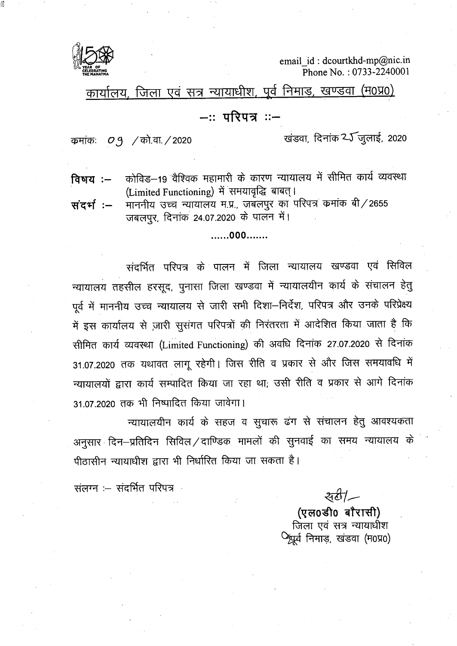

email id: dcourtkhd-mp@nic.in Phone No.: 0733-2240001

कार्यालय, जिला एवं सत्र न्यायाधीश, पूर्व निमाड, खण्डवा (म0प्र0)

## –∷परिपत्र ∷–

कमांकः  $O_9$  / को.वा. / 2020

खंडवा, दिनांक 25 जुलाई, 2020

कोविड़–19 वैश्विक महामारी के कारण न्यायालय में सीमित कार्य व्यवस्था विषय :— (Limited Functioning) में समयावृद्धि बाबत्।

माननीय उच्च न्यायालय म.प्र., जबलपुर का परिपत्र कमांक बी/2655 संदर्भ :– जबलपुर, दिनांक 24.07.2020 के पालन में।

......000.......

संदर्भित परिपत्र के पालन में जिला न्यायालय खण्डवा एवं सिविल न्यायालय तहसील हरसूद, पुनासा जिला खण्डवा में न्यायालयीन कार्य के संचालन हेतू पूर्व में माननीय उच्च न्यायालय से जारी सभी दिशा–निर्देश, परिपत्र और उनके परिप्रेक्ष्य में इस कार्यालय से ज़ारी सुसंगत परिपत्रों की निरंतरता में आदेशित किया जाता है कि सीमित कार्य व्यवस्था (Limited Functioning) की अवधि दिनांक 27.07.2020 से दिनांक 31.07.2020 तक यथावत लागू रहेगी। जिस रीति व प्रकार से और जिस समयावधि में न्यायालयों द्वारा कार्य सम्पादित किया जा रहा था, उसी रीति व प्रकार से आगे दिनांक 31.07.2020 तक भी निष्पादित किया जावेगा।

न्यायालयीन कार्य के सहज व सूचारू ढंग से संचालन हेतु आवश्यकता अनुसार दिन–प्रतिदिन सिविल/दाण्डिक मामलों की सुनवाई का समय न्यायालय के पीठासीन न्यायाधीश द्वारा भी निर्धारित किया जा सकता है।

संलग्न :- संदर्भित परिपत्र

 $\frac{1}{4}$ 

(एल0डी0 बौरासी) जिला एवं सत्र न्यायाधीश <sup>0</sup>श्रूर्व निमाड़, खंडवा (म0प्र0)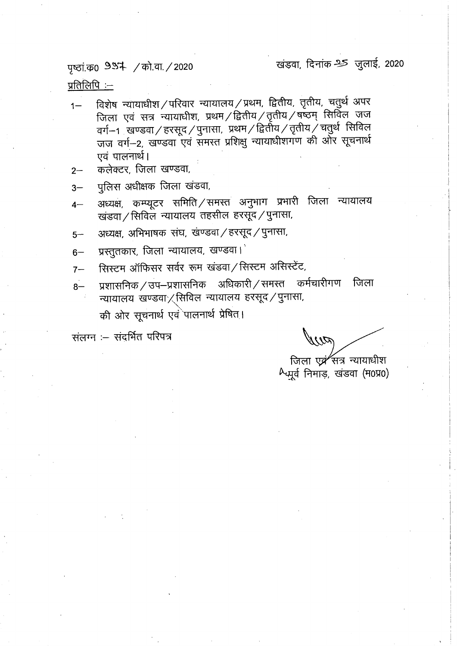पृष्ठां.क0 9954 / को.वा. / 2020

खंडवा, दिनांक 25 जुलाई, 2020

<u>प्रतिलिपि :--</u>

- विशेष न्यायाधीश/परिवार न्यायालय/प्रथम, द्वितीय, तृतीय, चतुर्थ अपर  $1 -$ जिला एवं सत्र न्यायाधीश, प्रथम /द्वितीय /तृतीय /षष्ठम् सिविल जज वर्ग $-$ 1 खण्डवा $/$ हरसूद $/$ पुनासा, प्रथम $/$ द्वितीय $/$ तृतीय $\dot{/}$ चतुर्थ सिविल जज वर्ग-2, खण्डवा एवं समस्त प्रशिक्षु न्यायाधीशगण की ओर सूचनार्थ एवं पालनार्थ।
- कलेक्टर, जिला खण्डवा,  $2 -$
- पुलिस अधीक्षक जिला खंडवा,  $3-$
- अध्यक्ष, कम्प्यूटर समिति/समस्त अनुभाग प्रभारी जिला न्यायालय  $4-$ खंडवा / सिविल न्यायालय तहसील हरसूद / पुनासा,
- अध्यक्ष, अभिभाषक संघ, खण्डवा / हरसूद / पुनासा,  $5-$
- प्रस्तुतकार, जिला न्यायालय, खण्डवा।  $6-$
- सिस्टम ऑफिसर सर्वर रूम खंडवा / सिस्टम असिस्टेंट,  $7-$
- प्रशासनिक / उप–प्रशासनिक अधिकारी / समस्त कर्मचारीगण जिला  $8-$ न्यायालय खण्डवा $\times$ सिविल न्यायालय हरसूद / पुनासा, की ओर सूचनार्थ एवं पालनार्थ प्रेषित।

संलग्न :- संदर्भित परिपत्र

やりだ

जिला एवं सत्र न्यायाधीश Augá निमाड़, खंडवा (म0प्र0)